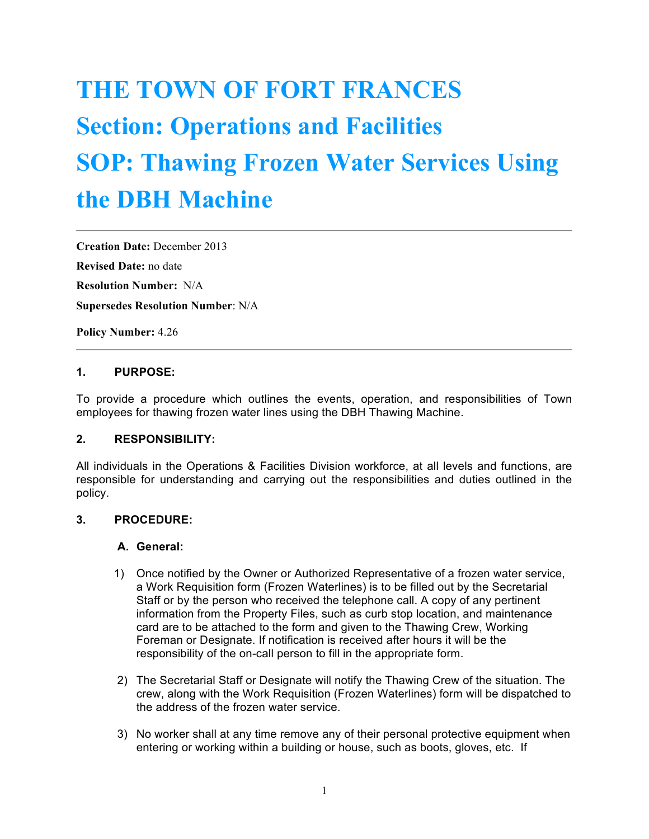# **THE TOWN OF FORT FRANCES Section: Operations and Facilities SOP: Thawing Frozen Water Services Using the DBH Machine**

**Creation Date:** December 2013 **Revised Date:** no date **Resolution Number:** N/A **Supersedes Resolution Number**: N/A

**Policy Number:** 4.26

## **1. PURPOSE:**

To provide a procedure which outlines the events, operation, and responsibilities of Town employees for thawing frozen water lines using the DBH Thawing Machine.

#### **2. RESPONSIBILITY:**

All individuals in the Operations & Facilities Division workforce, at all levels and functions, are responsible for understanding and carrying out the responsibilities and duties outlined in the policy.

#### **3. PROCEDURE:**

#### **A. General:**

- 1) Once notified by the Owner or Authorized Representative of a frozen water service, a Work Requisition form (Frozen Waterlines) is to be filled out by the Secretarial Staff or by the person who received the telephone call. A copy of any pertinent information from the Property Files, such as curb stop location, and maintenance card are to be attached to the form and given to the Thawing Crew, Working Foreman or Designate. If notification is received after hours it will be the responsibility of the on-call person to fill in the appropriate form.
- 2) The Secretarial Staff or Designate will notify the Thawing Crew of the situation. The crew, along with the Work Requisition (Frozen Waterlines) form will be dispatched to the address of the frozen water service.
- 3) No worker shall at any time remove any of their personal protective equipment when entering or working within a building or house, such as boots, gloves, etc. If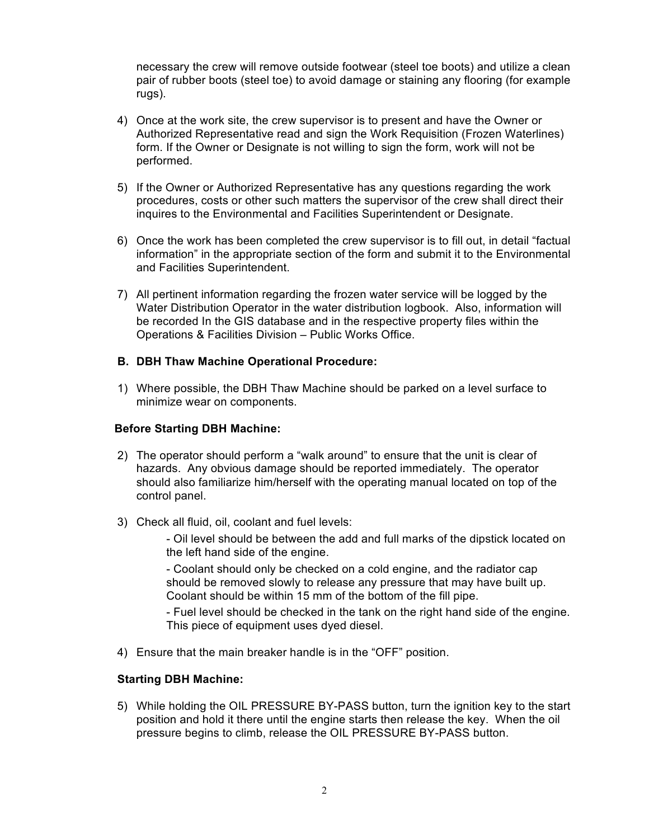necessary the crew will remove outside footwear (steel toe boots) and utilize a clean pair of rubber boots (steel toe) to avoid damage or staining any flooring (for example rugs).

- 4) Once at the work site, the crew supervisor is to present and have the Owner or Authorized Representative read and sign the Work Requisition (Frozen Waterlines) form. If the Owner or Designate is not willing to sign the form, work will not be performed.
- 5) If the Owner or Authorized Representative has any questions regarding the work procedures, costs or other such matters the supervisor of the crew shall direct their inquires to the Environmental and Facilities Superintendent or Designate.
- 6) Once the work has been completed the crew supervisor is to fill out, in detail "factual information" in the appropriate section of the form and submit it to the Environmental and Facilities Superintendent.
- 7) All pertinent information regarding the frozen water service will be logged by the Water Distribution Operator in the water distribution logbook. Also, information will be recorded In the GIS database and in the respective property files within the Operations & Facilities Division – Public Works Office.

#### **B. DBH Thaw Machine Operational Procedure:**

1) Where possible, the DBH Thaw Machine should be parked on a level surface to minimize wear on components.

#### **Before Starting DBH Machine:**

- 2) The operator should perform a "walk around" to ensure that the unit is clear of hazards. Any obvious damage should be reported immediately. The operator should also familiarize him/herself with the operating manual located on top of the control panel.
- 3) Check all fluid, oil, coolant and fuel levels:

- Oil level should be between the add and full marks of the dipstick located on the left hand side of the engine.

- Coolant should only be checked on a cold engine, and the radiator cap should be removed slowly to release any pressure that may have built up. Coolant should be within 15 mm of the bottom of the fill pipe.

- Fuel level should be checked in the tank on the right hand side of the engine. This piece of equipment uses dyed diesel.

4) Ensure that the main breaker handle is in the "OFF" position.

## **Starting DBH Machine:**

5) While holding the OIL PRESSURE BY-PASS button, turn the ignition key to the start position and hold it there until the engine starts then release the key. When the oil pressure begins to climb, release the OIL PRESSURE BY-PASS button.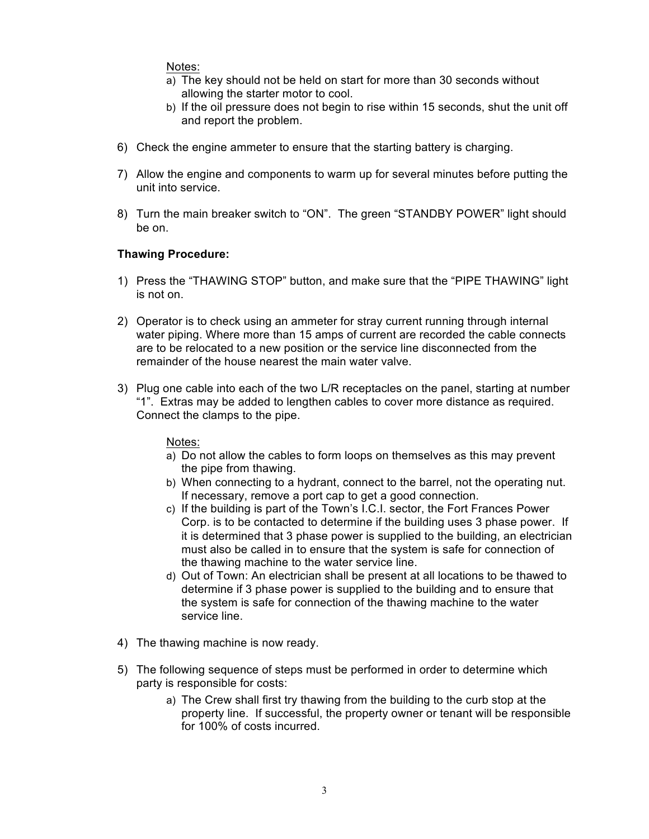Notes:

- a) The key should not be held on start for more than 30 seconds without allowing the starter motor to cool.
- b) If the oil pressure does not begin to rise within 15 seconds, shut the unit off and report the problem.
- 6) Check the engine ammeter to ensure that the starting battery is charging.
- 7) Allow the engine and components to warm up for several minutes before putting the unit into service.
- 8) Turn the main breaker switch to "ON". The green "STANDBY POWER" light should be on.

### **Thawing Procedure:**

- 1) Press the "THAWING STOP" button, and make sure that the "PIPE THAWING" light is not on.
- 2) Operator is to check using an ammeter for stray current running through internal water piping. Where more than 15 amps of current are recorded the cable connects are to be relocated to a new position or the service line disconnected from the remainder of the house nearest the main water valve.
- 3) Plug one cable into each of the two L/R receptacles on the panel, starting at number "1". Extras may be added to lengthen cables to cover more distance as required. Connect the clamps to the pipe.

#### Notes:

- a) Do not allow the cables to form loops on themselves as this may prevent the pipe from thawing.
- b) When connecting to a hydrant, connect to the barrel, not the operating nut. If necessary, remove a port cap to get a good connection.
- c) If the building is part of the Town's I.C.I. sector, the Fort Frances Power Corp. is to be contacted to determine if the building uses 3 phase power. If it is determined that 3 phase power is supplied to the building, an electrician must also be called in to ensure that the system is safe for connection of the thawing machine to the water service line.
- d) Out of Town: An electrician shall be present at all locations to be thawed to determine if 3 phase power is supplied to the building and to ensure that the system is safe for connection of the thawing machine to the water service line.
- 4) The thawing machine is now ready.
- 5) The following sequence of steps must be performed in order to determine which party is responsible for costs:
	- a) The Crew shall first try thawing from the building to the curb stop at the property line. If successful, the property owner or tenant will be responsible for 100% of costs incurred.